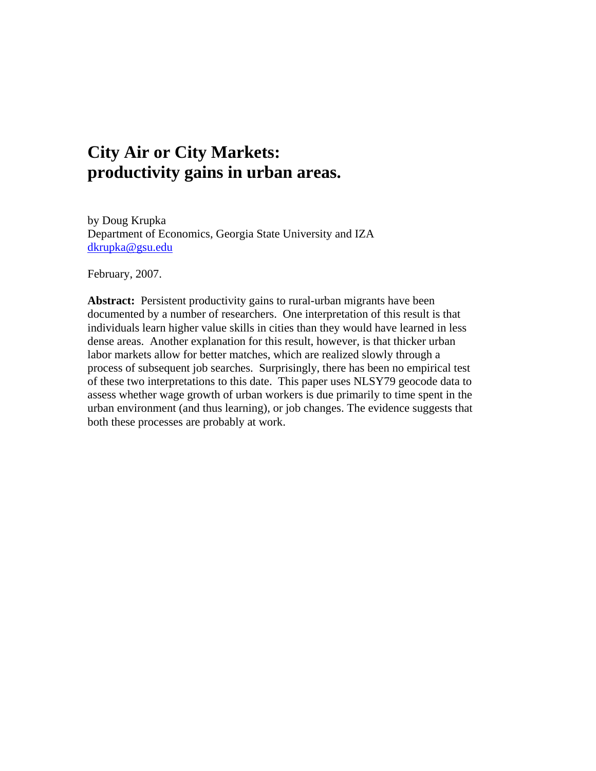# **City Air or City Markets: productivity gains in urban areas.**

by Doug Krupka Department of Economics, Georgia State University and IZA [dkrupka@gsu.edu](mailto:dkrupka@gsu.edu)

February, 2007.

Abstract: Persistent productivity gains to rural-urban migrants have been documented by a number of researchers. One interpretation of this result is that individuals learn higher value skills in cities than they would have learned in less dense areas. Another explanation for this result, however, is that thicker urban labor markets allow for better matches, which are realized slowly through a process of subsequent job searches. Surprisingly, there has been no empirical test of these two interpretations to this date. This paper uses NLSY79 geocode data to assess whether wage growth of urban workers is due primarily to time spent in the urban environment (and thus learning), or job changes. The evidence suggests that both these processes are probably at work.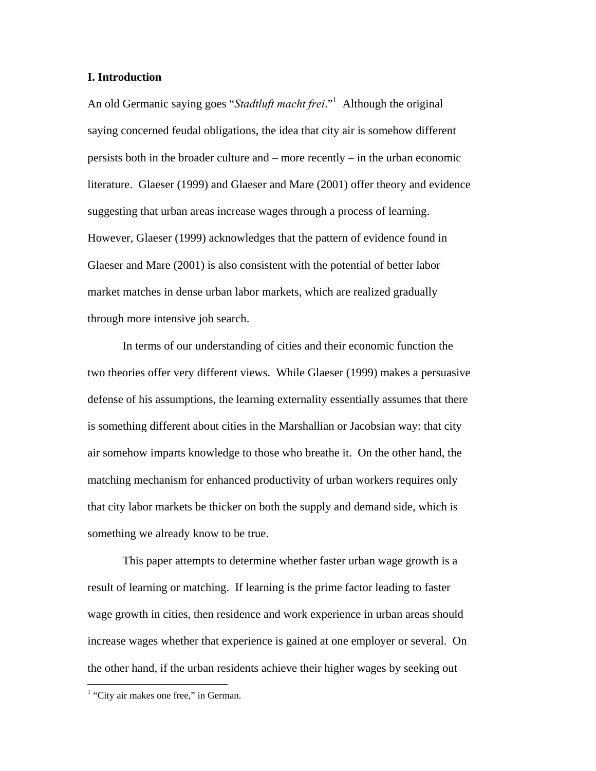#### **I. Introduction**

An old Germanic saying goes "*Stadtluft macht frei*.["1](#page-1-0) Although the original saying concerned feudal obligations, the idea that city air is somehow different persists both in the broader culture and – more recently – in the urban economic literature. Glaeser (1999) and Glaeser and Mare (2001) offer theory and evidence suggesting that urban areas increase wages through a process of learning. However, Glaeser (1999) acknowledges that the pattern of evidence found in Glaeser and Mare (2001) is also consistent with the potential of better labor market matches in dense urban labor markets, which are realized gradually through more intensive job search.

 In terms of our understanding of cities and their economic function the two theories offer very different views. While Glaeser (1999) makes a persuasive defense of his assumptions, the learning externality essentially assumes that there is something different about cities in the Marshallian or Jacobsian way: that city air somehow imparts knowledge to those who breathe it. On the other hand, the matching mechanism for enhanced productivity of urban workers requires only that city labor markets be thicker on both the supply and demand side, which is something we already know to be true.

 This paper attempts to determine whether faster urban wage growth is a result of learning or matching. If learning is the prime factor leading to faster wage growth in cities, then residence and work experience in urban areas should increase wages whether that experience is gained at one employer or several. On the other hand, if the urban residents achieve their higher wages by seeking out

<u>.</u>

<span id="page-1-0"></span><sup>&</sup>lt;sup>1</sup> "City air makes one free," in German.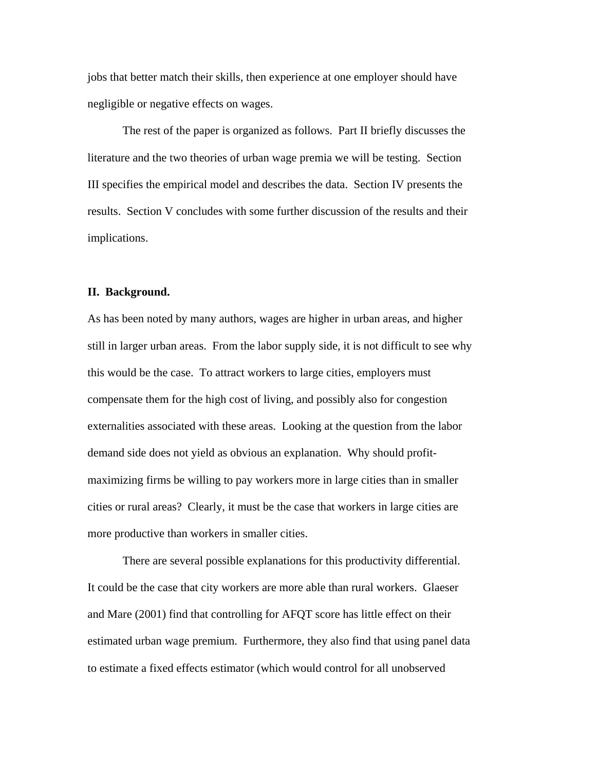jobs that better match their skills, then experience at one employer should have negligible or negative effects on wages.

 The rest of the paper is organized as follows. Part II briefly discusses the literature and the two theories of urban wage premia we will be testing. Section III specifies the empirical model and describes the data. Section IV presents the results. Section V concludes with some further discussion of the results and their implications.

#### **II. Background.**

As has been noted by many authors, wages are higher in urban areas, and higher still in larger urban areas. From the labor supply side, it is not difficult to see why this would be the case. To attract workers to large cities, employers must compensate them for the high cost of living, and possibly also for congestion externalities associated with these areas. Looking at the question from the labor demand side does not yield as obvious an explanation. Why should profitmaximizing firms be willing to pay workers more in large cities than in smaller cities or rural areas? Clearly, it must be the case that workers in large cities are more productive than workers in smaller cities.

 There are several possible explanations for this productivity differential. It could be the case that city workers are more able than rural workers. Glaeser and Mare (2001) find that controlling for AFQT score has little effect on their estimated urban wage premium. Furthermore, they also find that using panel data to estimate a fixed effects estimator (which would control for all unobserved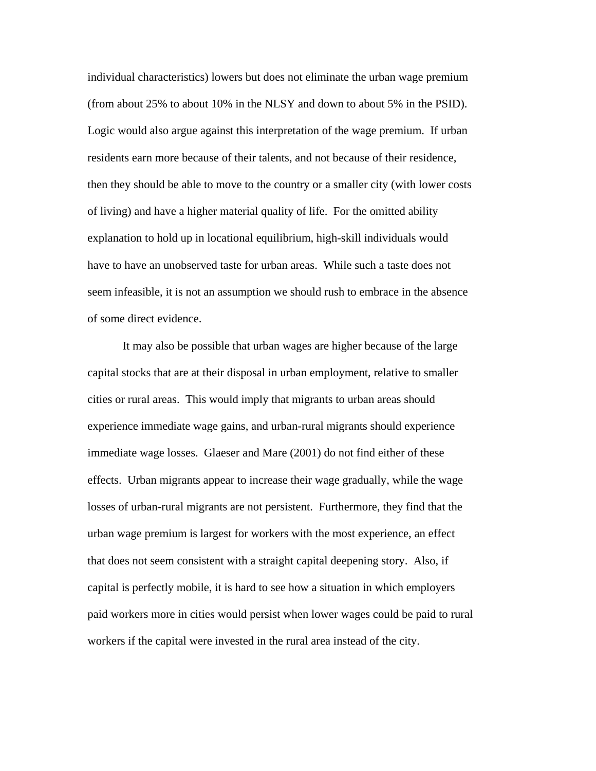individual characteristics) lowers but does not eliminate the urban wage premium (from about 25% to about 10% in the NLSY and down to about 5% in the PSID). Logic would also argue against this interpretation of the wage premium. If urban residents earn more because of their talents, and not because of their residence, then they should be able to move to the country or a smaller city (with lower costs of living) and have a higher material quality of life. For the omitted ability explanation to hold up in locational equilibrium, high-skill individuals would have to have an unobserved taste for urban areas. While such a taste does not seem infeasible, it is not an assumption we should rush to embrace in the absence of some direct evidence.

 It may also be possible that urban wages are higher because of the large capital stocks that are at their disposal in urban employment, relative to smaller cities or rural areas. This would imply that migrants to urban areas should experience immediate wage gains, and urban-rural migrants should experience immediate wage losses. Glaeser and Mare (2001) do not find either of these effects. Urban migrants appear to increase their wage gradually, while the wage losses of urban-rural migrants are not persistent. Furthermore, they find that the urban wage premium is largest for workers with the most experience, an effect that does not seem consistent with a straight capital deepening story. Also, if capital is perfectly mobile, it is hard to see how a situation in which employers paid workers more in cities would persist when lower wages could be paid to rural workers if the capital were invested in the rural area instead of the city.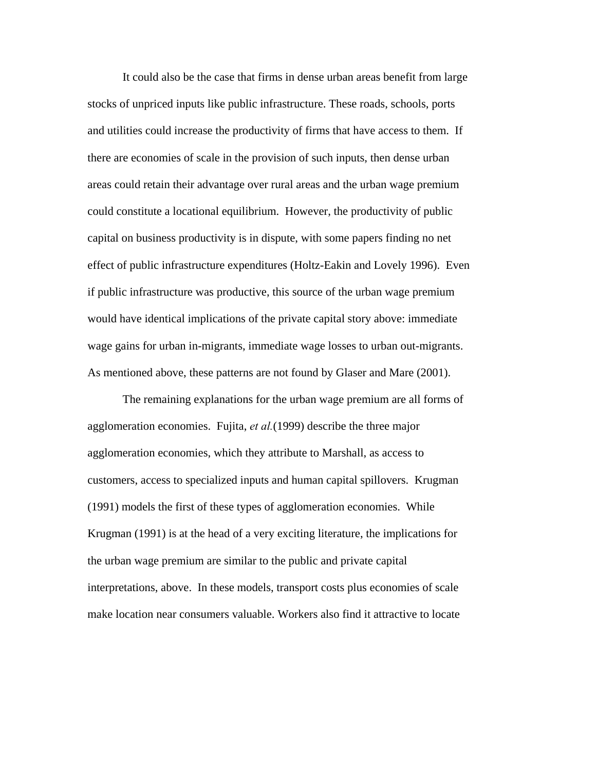It could also be the case that firms in dense urban areas benefit from large stocks of unpriced inputs like public infrastructure. These roads, schools, ports and utilities could increase the productivity of firms that have access to them. If there are economies of scale in the provision of such inputs, then dense urban areas could retain their advantage over rural areas and the urban wage premium could constitute a locational equilibrium. However, the productivity of public capital on business productivity is in dispute, with some papers finding no net effect of public infrastructure expenditures (Holtz-Eakin and Lovely 1996). Even if public infrastructure was productive, this source of the urban wage premium would have identical implications of the private capital story above: immediate wage gains for urban in-migrants, immediate wage losses to urban out-migrants. As mentioned above, these patterns are not found by Glaser and Mare (2001).

 The remaining explanations for the urban wage premium are all forms of agglomeration economies. Fujita, *et al.*(1999) describe the three major agglomeration economies, which they attribute to Marshall, as access to customers, access to specialized inputs and human capital spillovers. Krugman (1991) models the first of these types of agglomeration economies. While Krugman (1991) is at the head of a very exciting literature, the implications for the urban wage premium are similar to the public and private capital interpretations, above. In these models, transport costs plus economies of scale make location near consumers valuable. Workers also find it attractive to locate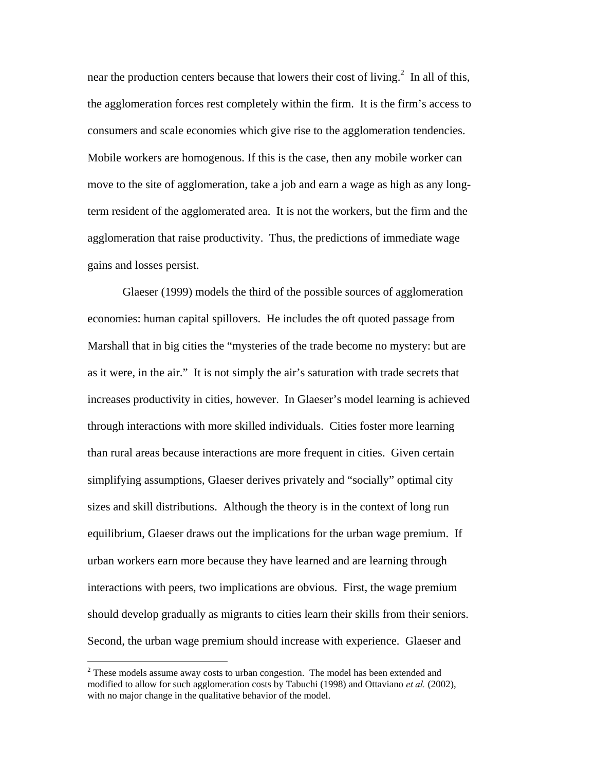near the production centers because that lowers their cost of living.<sup>[2](#page-5-0)</sup> In all of this, the agglomeration forces rest completely within the firm. It is the firm's access to consumers and scale economies which give rise to the agglomeration tendencies. Mobile workers are homogenous. If this is the case, then any mobile worker can move to the site of agglomeration, take a job and earn a wage as high as any longterm resident of the agglomerated area. It is not the workers, but the firm and the agglomeration that raise productivity. Thus, the predictions of immediate wage gains and losses persist.

 Glaeser (1999) models the third of the possible sources of agglomeration economies: human capital spillovers. He includes the oft quoted passage from Marshall that in big cities the "mysteries of the trade become no mystery: but are as it were, in the air." It is not simply the air's saturation with trade secrets that increases productivity in cities, however. In Glaeser's model learning is achieved through interactions with more skilled individuals. Cities foster more learning than rural areas because interactions are more frequent in cities. Given certain simplifying assumptions, Glaeser derives privately and "socially" optimal city sizes and skill distributions. Although the theory is in the context of long run equilibrium, Glaeser draws out the implications for the urban wage premium. If urban workers earn more because they have learned and are learning through interactions with peers, two implications are obvious. First, the wage premium should develop gradually as migrants to cities learn their skills from their seniors. Second, the urban wage premium should increase with experience. Glaeser and

1

<span id="page-5-0"></span> $2^2$  These models assume away costs to urban congestion. The model has been extended and modified to allow for such agglomeration costs by Tabuchi (1998) and Ottaviano *et al.* (2002), with no major change in the qualitative behavior of the model.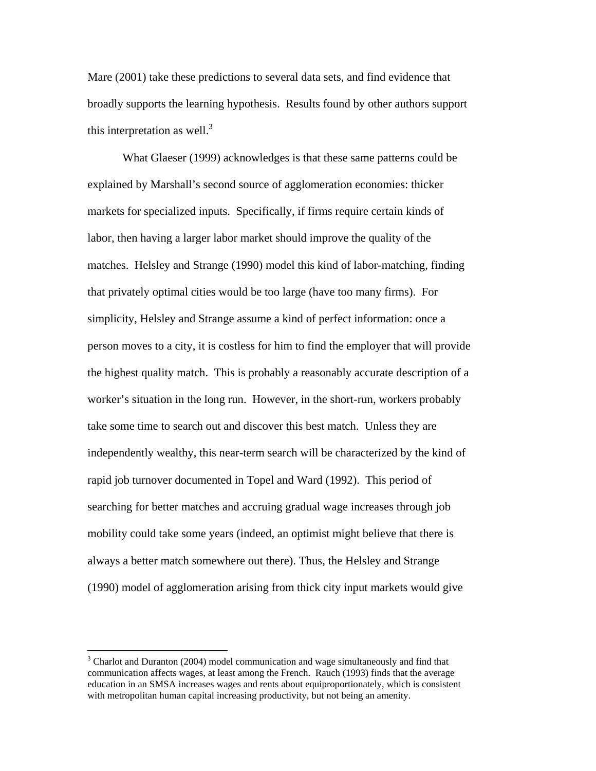Mare (2001) take these predictions to several data sets, and find evidence that broadly supports the learning hypothesis. Results found by other authors support this interpretation as well.<sup>[3](#page-6-0)</sup>

 What Glaeser (1999) acknowledges is that these same patterns could be explained by Marshall's second source of agglomeration economies: thicker markets for specialized inputs. Specifically, if firms require certain kinds of labor, then having a larger labor market should improve the quality of the matches. Helsley and Strange (1990) model this kind of labor-matching, finding that privately optimal cities would be too large (have too many firms). For simplicity, Helsley and Strange assume a kind of perfect information: once a person moves to a city, it is costless for him to find the employer that will provide the highest quality match. This is probably a reasonably accurate description of a worker's situation in the long run. However, in the short-run, workers probably take some time to search out and discover this best match. Unless they are independently wealthy, this near-term search will be characterized by the kind of rapid job turnover documented in Topel and Ward (1992). This period of searching for better matches and accruing gradual wage increases through job mobility could take some years (indeed, an optimist might believe that there is always a better match somewhere out there). Thus, the Helsley and Strange (1990) model of agglomeration arising from thick city input markets would give

 $\overline{a}$ 

<span id="page-6-0"></span> $3$  Charlot and Duranton (2004) model communication and wage simultaneously and find that communication affects wages, at least among the French. Rauch (1993) finds that the average education in an SMSA increases wages and rents about equiproportionately, which is consistent with metropolitan human capital increasing productivity, but not being an amenity.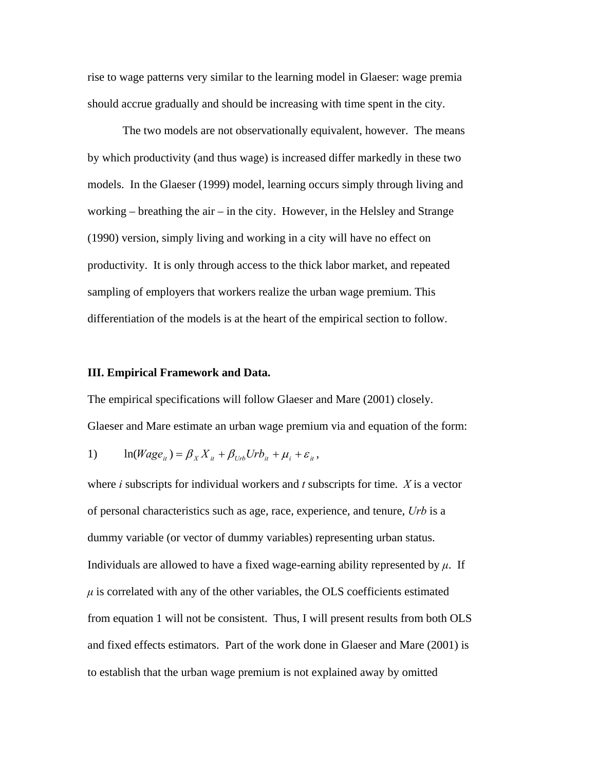rise to wage patterns very similar to the learning model in Glaeser: wage premia should accrue gradually and should be increasing with time spent in the city.

The two models are not observationally equivalent, however. The means by which productivity (and thus wage) is increased differ markedly in these two models. In the Glaeser (1999) model, learning occurs simply through living and working – breathing the air – in the city. However, in the Helsley and Strange (1990) version, simply living and working in a city will have no effect on productivity. It is only through access to the thick labor market, and repeated sampling of employers that workers realize the urban wage premium. This differentiation of the models is at the heart of the empirical section to follow.

#### **III. Empirical Framework and Data.**

The empirical specifications will follow Glaeser and Mare (2001) closely. Glaeser and Mare estimate an urban wage premium via and equation of the form:

1) 
$$
\ln(Wage_{it}) = \beta_X X_{it} + \beta_{Urb} Urb_{it} + \mu_i + \varepsilon_{it},
$$

where *i* subscripts for individual workers and *t* subscripts for time. *X* is a vector of personal characteristics such as age, race, experience, and tenure, *Urb* is a dummy variable (or vector of dummy variables) representing urban status. Individuals are allowed to have a fixed wage-earning ability represented by *µ*. If  $\mu$  is correlated with any of the other variables, the OLS coefficients estimated from equation 1 will not be consistent. Thus, I will present results from both OLS and fixed effects estimators. Part of the work done in Glaeser and Mare (2001) is to establish that the urban wage premium is not explained away by omitted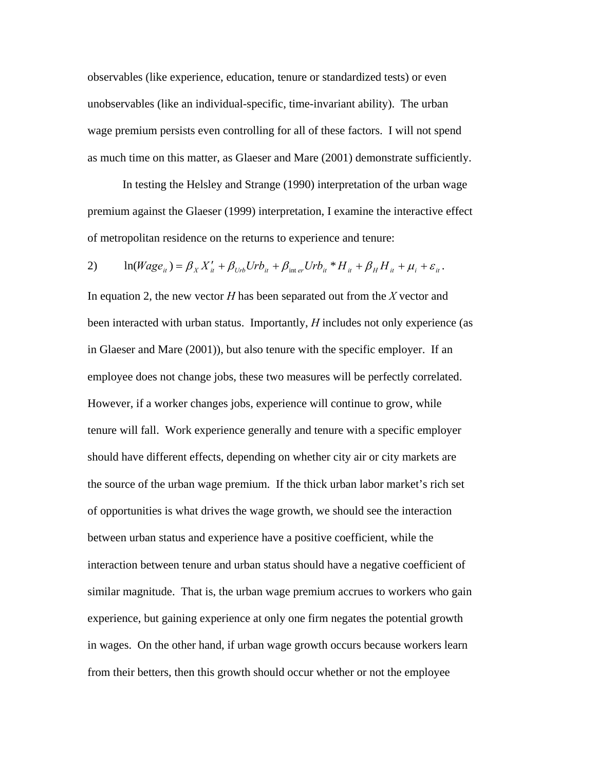observables (like experience, education, tenure or standardized tests) or even unobservables (like an individual-specific, time-invariant ability). The urban wage premium persists even controlling for all of these factors. I will not spend as much time on this matter, as Glaeser and Mare (2001) demonstrate sufficiently.

In testing the Helsley and Strange (1990) interpretation of the urban wage premium against the Glaeser (1999) interpretation, I examine the interactive effect of metropolitan residence on the returns to experience and tenure:

2) 
$$
\ln(Wage_{it}) = \beta_X X'_{it} + \beta_{Urb} Urb_{it} + \beta_{\text{inter}} Urb_{it} * H_{it} + \beta_H H_{it} + \mu_i + \varepsilon_{it}.
$$

In equation 2, the new vector *H* has been separated out from the *X* vector and been interacted with urban status. Importantly, *H* includes not only experience (as in Glaeser and Mare (2001)), but also tenure with the specific employer. If an employee does not change jobs, these two measures will be perfectly correlated. However, if a worker changes jobs, experience will continue to grow, while tenure will fall. Work experience generally and tenure with a specific employer should have different effects, depending on whether city air or city markets are the source of the urban wage premium. If the thick urban labor market's rich set of opportunities is what drives the wage growth, we should see the interaction between urban status and experience have a positive coefficient, while the interaction between tenure and urban status should have a negative coefficient of similar magnitude. That is, the urban wage premium accrues to workers who gain experience, but gaining experience at only one firm negates the potential growth in wages. On the other hand, if urban wage growth occurs because workers learn from their betters, then this growth should occur whether or not the employee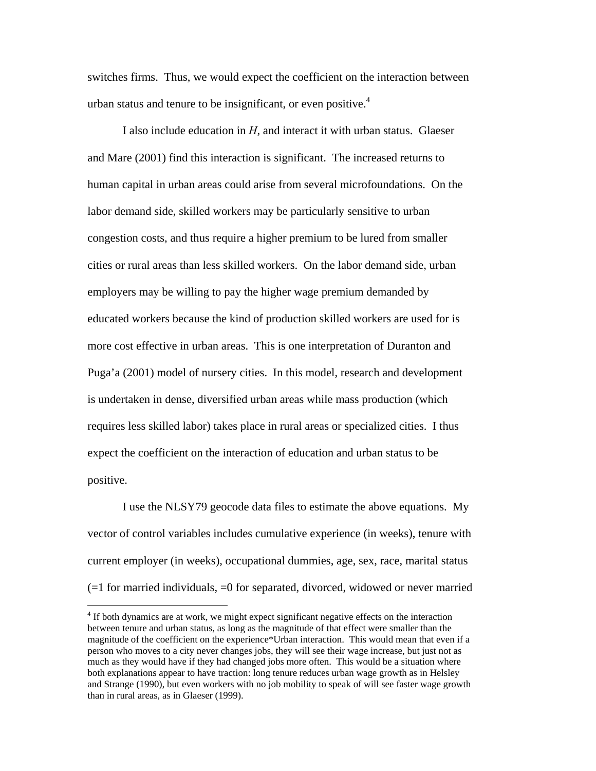switches firms. Thus, we would expect the coefficient on the interaction between urban status and tenure to be insignificant, or even positive. $4$ 

 I also include education in *H*, and interact it with urban status. Glaeser and Mare (2001) find this interaction is significant. The increased returns to human capital in urban areas could arise from several microfoundations. On the labor demand side, skilled workers may be particularly sensitive to urban congestion costs, and thus require a higher premium to be lured from smaller cities or rural areas than less skilled workers. On the labor demand side, urban employers may be willing to pay the higher wage premium demanded by educated workers because the kind of production skilled workers are used for is more cost effective in urban areas. This is one interpretation of Duranton and Puga'a (2001) model of nursery cities. In this model, research and development is undertaken in dense, diversified urban areas while mass production (which requires less skilled labor) takes place in rural areas or specialized cities. I thus expect the coefficient on the interaction of education and urban status to be positive.

 I use the NLSY79 geocode data files to estimate the above equations. My vector of control variables includes cumulative experience (in weeks), tenure with current employer (in weeks), occupational dummies, age, sex, race, marital status  $(=1$  for married individuals,  $=0$  for separated, divorced, widowed or never married

1

<span id="page-9-0"></span><sup>&</sup>lt;sup>4</sup> If both dynamics are at work, we might expect significant negative effects on the interaction between tenure and urban status, as long as the magnitude of that effect were smaller than the magnitude of the coefficient on the experience\*Urban interaction. This would mean that even if a person who moves to a city never changes jobs, they will see their wage increase, but just not as much as they would have if they had changed jobs more often. This would be a situation where both explanations appear to have traction: long tenure reduces urban wage growth as in Helsley and Strange (1990), but even workers with no job mobility to speak of will see faster wage growth than in rural areas, as in Glaeser (1999).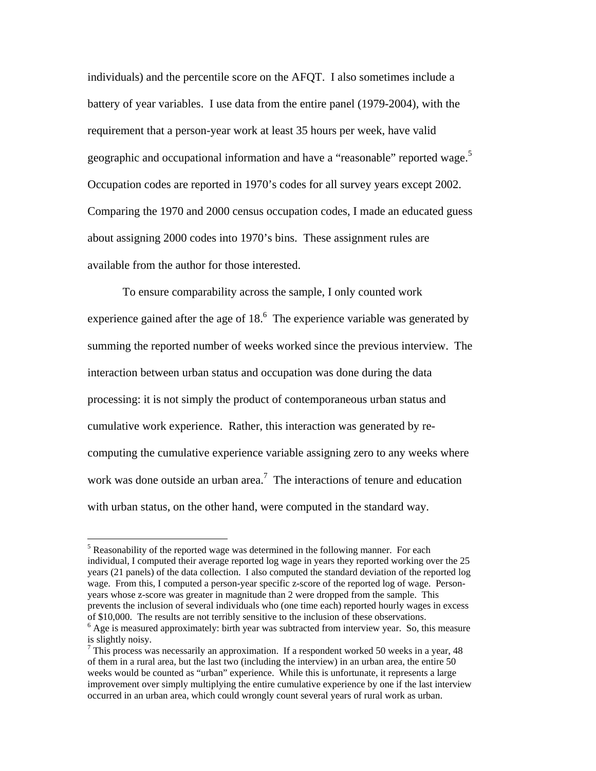individuals) and the percentile score on the AFQT. I also sometimes include a battery of year variables. I use data from the entire panel (1979-2004), with the requirement that a person-year work at least 35 hours per week, have valid geographic and occupational information and have a "reasonable" reported wage.<sup>[5](#page-10-0)</sup> Occupation codes are reported in 1970's codes for all survey years except 2002. Comparing the 1970 and 2000 census occupation codes, I made an educated guess about assigning 2000 codes into 1970's bins. These assignment rules are available from the author for those interested.

 To ensure comparability across the sample, I only counted work experience gained after the age of  $18<sup>6</sup>$ . The experience variable was generated by summing the reported number of weeks worked since the previous interview. The interaction between urban status and occupation was done during the data processing: it is not simply the product of contemporaneous urban status and cumulative work experience. Rather, this interaction was generated by recomputing the cumulative experience variable assigning zero to any weeks where work was done outside an urban area.<sup>[7](#page-10-2)</sup> The interactions of tenure and education with urban status, on the other hand, were computed in the standard way.

1

<span id="page-10-0"></span> $<sup>5</sup>$  Reasonability of the reported wage was determined in the following manner. For each</sup> individual, I computed their average reported log wage in years they reported working over the 25 years (21 panels) of the data collection. I also computed the standard deviation of the reported log wage. From this, I computed a person-year specific z-score of the reported log of wage. Personyears whose z-score was greater in magnitude than 2 were dropped from the sample. This prevents the inclusion of several individuals who (one time each) reported hourly wages in excess of \$10,000. The results are not terribly sensitive to the inclusion of these observations.

<span id="page-10-1"></span> $<sup>6</sup>$  Age is measured approximately: birth year was subtracted from interview year. So, this measure</sup> is slightly noisy.

<span id="page-10-2"></span> $7$  This process was necessarily an approximation. If a respondent worked 50 weeks in a year, 48 of them in a rural area, but the last two (including the interview) in an urban area, the entire 50 weeks would be counted as "urban" experience. While this is unfortunate, it represents a large improvement over simply multiplying the entire cumulative experience by one if the last interview occurred in an urban area, which could wrongly count several years of rural work as urban.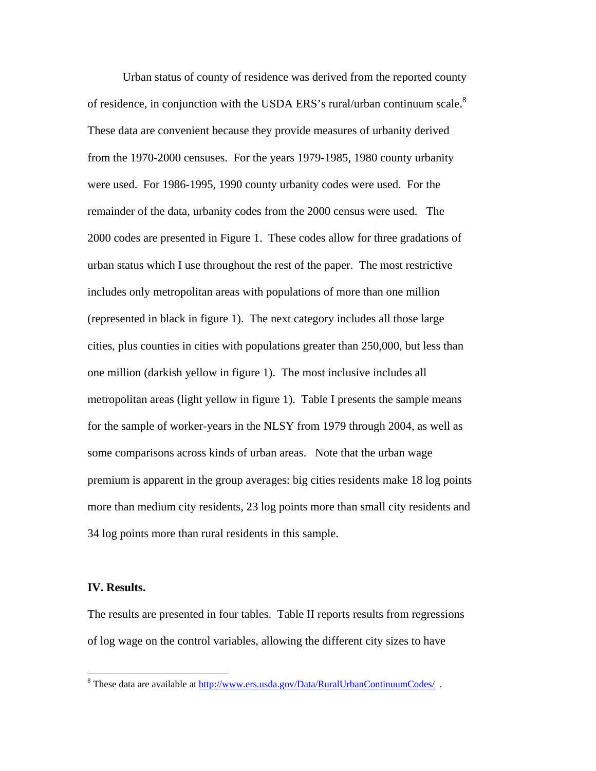Urban status of county of residence was derived from the reported county of residence, in conjunction with the USDA ERS's rural/urban continuum scale. $8$ These data are convenient because they provide measures of urbanity derived from the 1970-2000 censuses. For the years 1979-1985, 1980 county urbanity were used. For 1986-1995, 1990 county urbanity codes were used. For the remainder of the data, urbanity codes from the 2000 census were used. The 2000 codes are presented in Figure 1. These codes allow for three gradations of urban status which I use throughout the rest of the paper. The most restrictive includes only metropolitan areas with populations of more than one million (represented in black in figure 1). The next category includes all those large cities, plus counties in cities with populations greater than 250,000, but less than one million (darkish yellow in figure 1). The most inclusive includes all metropolitan areas (light yellow in figure 1). Table I presents the sample means for the sample of worker-years in the NLSY from 1979 through 2004, as well as some comparisons across kinds of urban areas. Note that the urban wage premium is apparent in the group averages: big cities residents make 18 log points more than medium city residents, 23 log points more than small city residents and 34 log points more than rural residents in this sample.

#### **IV. Results.**

1

The results are presented in four tables. Table II reports results from regressions of log wage on the control variables, allowing the different city sizes to have

<span id="page-11-0"></span><sup>&</sup>lt;sup>8</sup> These data are available at  $\frac{http://www.ers.usda.gov/Data/RuralUrbanContinuum Codes/}{$ .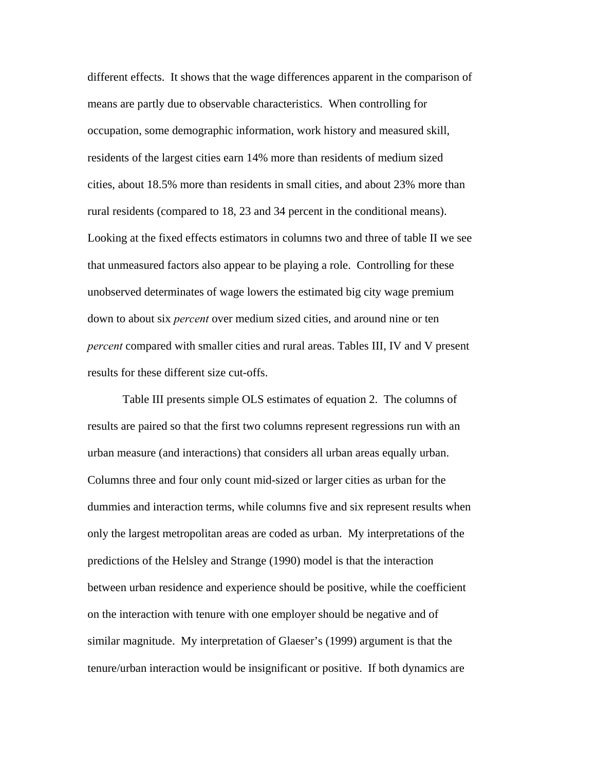different effects. It shows that the wage differences apparent in the comparison of means are partly due to observable characteristics. When controlling for occupation, some demographic information, work history and measured skill, residents of the largest cities earn 14% more than residents of medium sized cities, about 18.5% more than residents in small cities, and about 23% more than rural residents (compared to 18, 23 and 34 percent in the conditional means). Looking at the fixed effects estimators in columns two and three of table II we see that unmeasured factors also appear to be playing a role. Controlling for these unobserved determinates of wage lowers the estimated big city wage premium down to about six *percent* over medium sized cities, and around nine or ten *percent* compared with smaller cities and rural areas. Tables III, IV and V present results for these different size cut-offs.

 Table III presents simple OLS estimates of equation 2. The columns of results are paired so that the first two columns represent regressions run with an urban measure (and interactions) that considers all urban areas equally urban. Columns three and four only count mid-sized or larger cities as urban for the dummies and interaction terms, while columns five and six represent results when only the largest metropolitan areas are coded as urban. My interpretations of the predictions of the Helsley and Strange (1990) model is that the interaction between urban residence and experience should be positive, while the coefficient on the interaction with tenure with one employer should be negative and of similar magnitude. My interpretation of Glaeser's (1999) argument is that the tenure/urban interaction would be insignificant or positive. If both dynamics are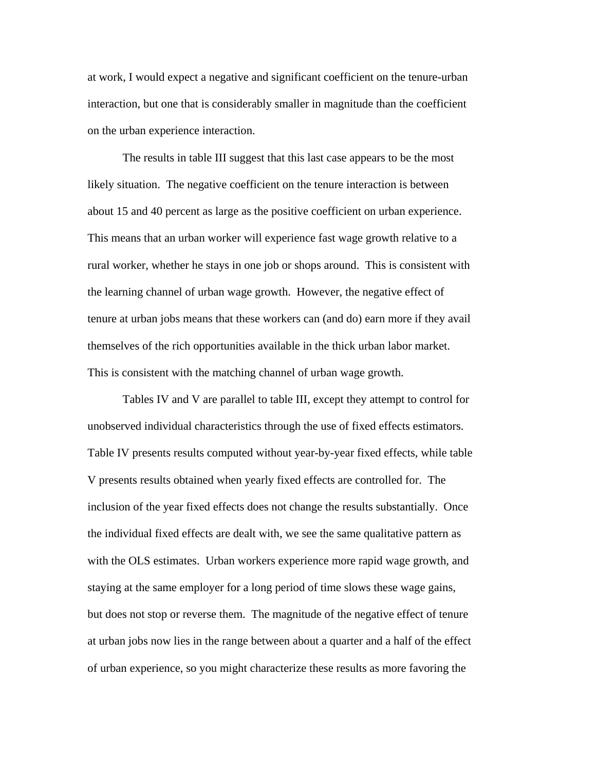at work, I would expect a negative and significant coefficient on the tenure-urban interaction, but one that is considerably smaller in magnitude than the coefficient on the urban experience interaction.

 The results in table III suggest that this last case appears to be the most likely situation. The negative coefficient on the tenure interaction is between about 15 and 40 percent as large as the positive coefficient on urban experience. This means that an urban worker will experience fast wage growth relative to a rural worker, whether he stays in one job or shops around. This is consistent with the learning channel of urban wage growth. However, the negative effect of tenure at urban jobs means that these workers can (and do) earn more if they avail themselves of the rich opportunities available in the thick urban labor market. This is consistent with the matching channel of urban wage growth.

 Tables IV and V are parallel to table III, except they attempt to control for unobserved individual characteristics through the use of fixed effects estimators. Table IV presents results computed without year-by-year fixed effects, while table V presents results obtained when yearly fixed effects are controlled for. The inclusion of the year fixed effects does not change the results substantially. Once the individual fixed effects are dealt with, we see the same qualitative pattern as with the OLS estimates. Urban workers experience more rapid wage growth, and staying at the same employer for a long period of time slows these wage gains, but does not stop or reverse them. The magnitude of the negative effect of tenure at urban jobs now lies in the range between about a quarter and a half of the effect of urban experience, so you might characterize these results as more favoring the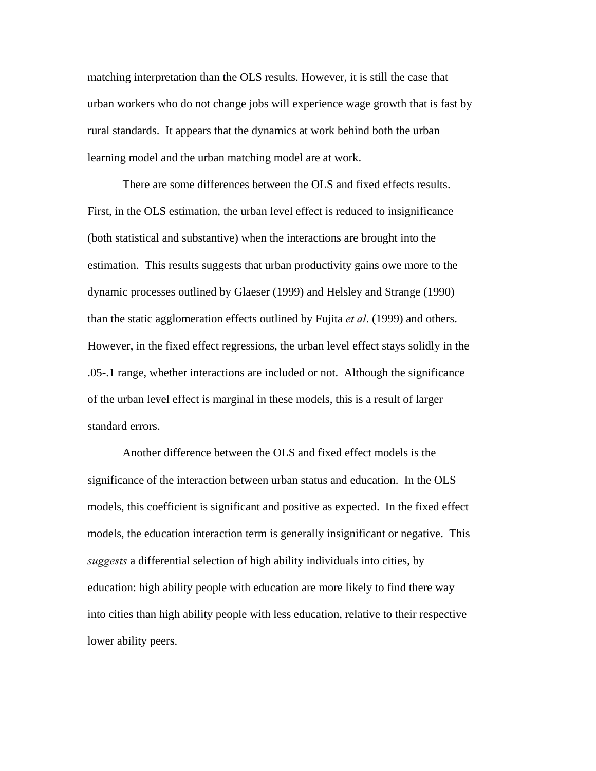matching interpretation than the OLS results. However, it is still the case that urban workers who do not change jobs will experience wage growth that is fast by rural standards. It appears that the dynamics at work behind both the urban learning model and the urban matching model are at work.

 There are some differences between the OLS and fixed effects results. First, in the OLS estimation, the urban level effect is reduced to insignificance (both statistical and substantive) when the interactions are brought into the estimation. This results suggests that urban productivity gains owe more to the dynamic processes outlined by Glaeser (1999) and Helsley and Strange (1990) than the static agglomeration effects outlined by Fujita *et al*. (1999) and others. However, in the fixed effect regressions, the urban level effect stays solidly in the .05-.1 range, whether interactions are included or not. Although the significance of the urban level effect is marginal in these models, this is a result of larger standard errors.

 Another difference between the OLS and fixed effect models is the significance of the interaction between urban status and education. In the OLS models, this coefficient is significant and positive as expected. In the fixed effect models, the education interaction term is generally insignificant or negative. This *suggests* a differential selection of high ability individuals into cities, by education: high ability people with education are more likely to find there way into cities than high ability people with less education, relative to their respective lower ability peers.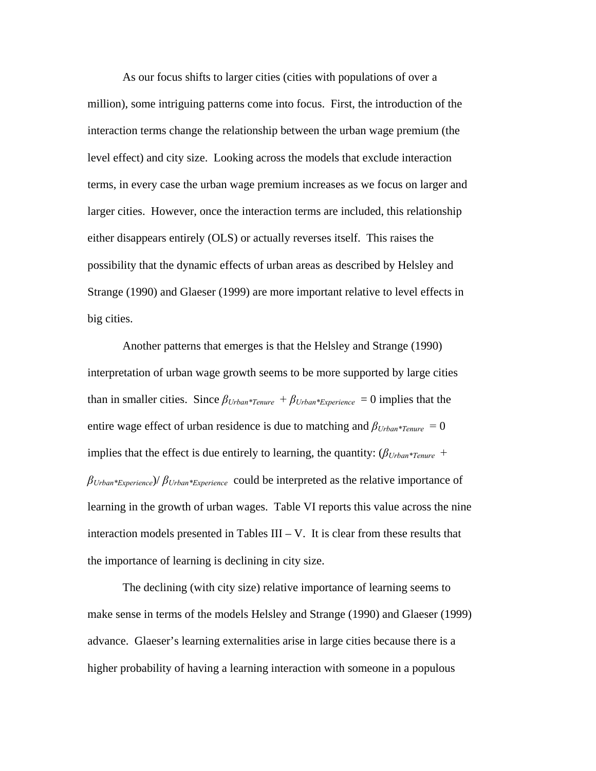As our focus shifts to larger cities (cities with populations of over a million), some intriguing patterns come into focus. First, the introduction of the interaction terms change the relationship between the urban wage premium (the level effect) and city size. Looking across the models that exclude interaction terms, in every case the urban wage premium increases as we focus on larger and larger cities. However, once the interaction terms are included, this relationship either disappears entirely (OLS) or actually reverses itself. This raises the possibility that the dynamic effects of urban areas as described by Helsley and Strange (1990) and Glaeser (1999) are more important relative to level effects in big cities.

Another patterns that emerges is that the Helsley and Strange (1990) interpretation of urban wage growth seems to be more supported by large cities than in smaller cities. Since  $\beta_{Urban*Tenure} + \beta_{Urban*Experience} = 0$  implies that the entire wage effect of urban residence is due to matching and *βUrban\*Tenure =* 0 implies that the effect is due entirely to learning, the quantity:  $(\beta_{Urban*Tenure}$  + *βUrban\*Experience*)/ *βUrban\*Experience* could be interpreted as the relative importance of learning in the growth of urban wages. Table VI reports this value across the nine interaction models presented in Tables  $III - V$ . It is clear from these results that the importance of learning is declining in city size.

The declining (with city size) relative importance of learning seems to make sense in terms of the models Helsley and Strange (1990) and Glaeser (1999) advance. Glaeser's learning externalities arise in large cities because there is a higher probability of having a learning interaction with someone in a populous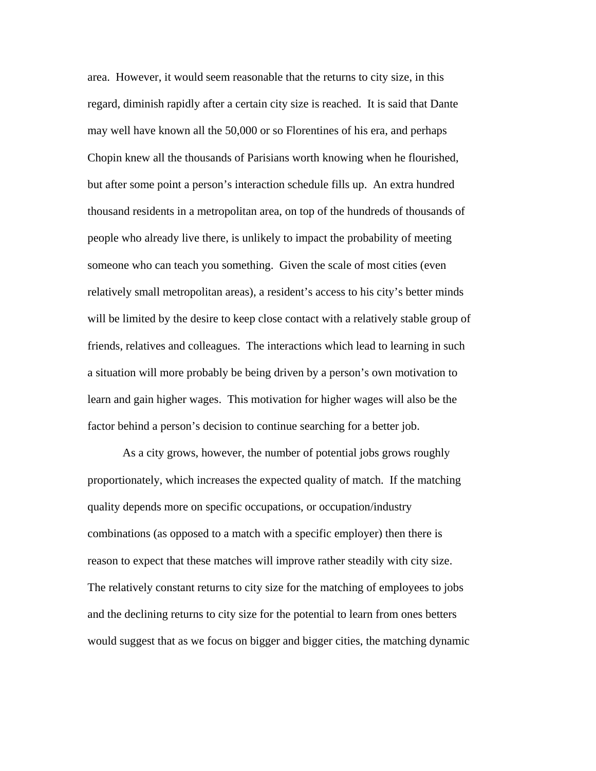area. However, it would seem reasonable that the returns to city size, in this regard, diminish rapidly after a certain city size is reached. It is said that Dante may well have known all the 50,000 or so Florentines of his era, and perhaps Chopin knew all the thousands of Parisians worth knowing when he flourished, but after some point a person's interaction schedule fills up. An extra hundred thousand residents in a metropolitan area, on top of the hundreds of thousands of people who already live there, is unlikely to impact the probability of meeting someone who can teach you something. Given the scale of most cities (even relatively small metropolitan areas), a resident's access to his city's better minds will be limited by the desire to keep close contact with a relatively stable group of friends, relatives and colleagues. The interactions which lead to learning in such a situation will more probably be being driven by a person's own motivation to learn and gain higher wages. This motivation for higher wages will also be the factor behind a person's decision to continue searching for a better job.

 As a city grows, however, the number of potential jobs grows roughly proportionately, which increases the expected quality of match. If the matching quality depends more on specific occupations, or occupation/industry combinations (as opposed to a match with a specific employer) then there is reason to expect that these matches will improve rather steadily with city size. The relatively constant returns to city size for the matching of employees to jobs and the declining returns to city size for the potential to learn from ones betters would suggest that as we focus on bigger and bigger cities, the matching dynamic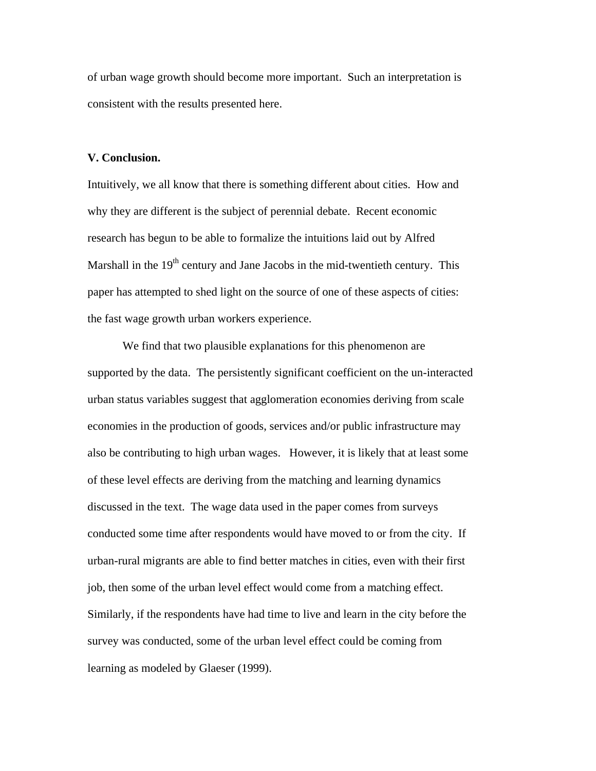of urban wage growth should become more important. Such an interpretation is consistent with the results presented here.

#### **V. Conclusion.**

Intuitively, we all know that there is something different about cities. How and why they are different is the subject of perennial debate. Recent economic research has begun to be able to formalize the intuitions laid out by Alfred Marshall in the  $19<sup>th</sup>$  century and Jane Jacobs in the mid-twentieth century. This paper has attempted to shed light on the source of one of these aspects of cities: the fast wage growth urban workers experience.

 We find that two plausible explanations for this phenomenon are supported by the data. The persistently significant coefficient on the un-interacted urban status variables suggest that agglomeration economies deriving from scale economies in the production of goods, services and/or public infrastructure may also be contributing to high urban wages. However, it is likely that at least some of these level effects are deriving from the matching and learning dynamics discussed in the text. The wage data used in the paper comes from surveys conducted some time after respondents would have moved to or from the city. If urban-rural migrants are able to find better matches in cities, even with their first job, then some of the urban level effect would come from a matching effect. Similarly, if the respondents have had time to live and learn in the city before the survey was conducted, some of the urban level effect could be coming from learning as modeled by Glaeser (1999).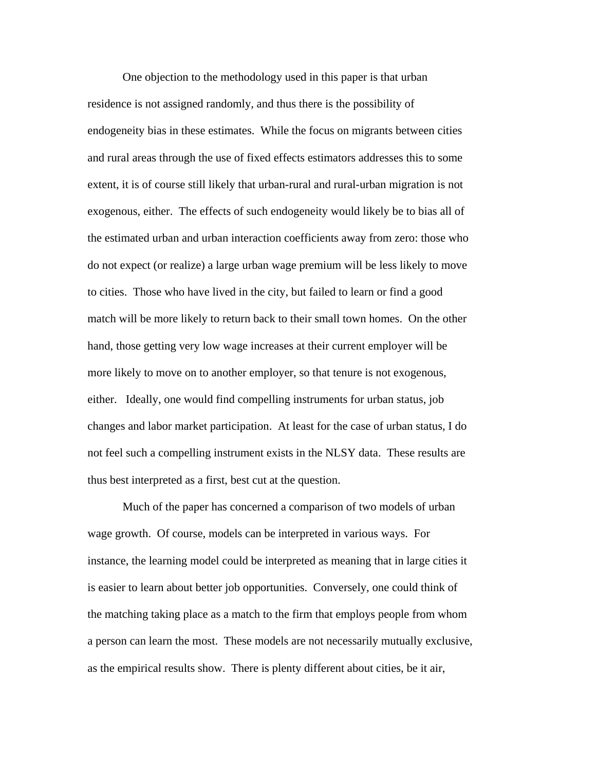One objection to the methodology used in this paper is that urban residence is not assigned randomly, and thus there is the possibility of endogeneity bias in these estimates. While the focus on migrants between cities and rural areas through the use of fixed effects estimators addresses this to some extent, it is of course still likely that urban-rural and rural-urban migration is not exogenous, either. The effects of such endogeneity would likely be to bias all of the estimated urban and urban interaction coefficients away from zero: those who do not expect (or realize) a large urban wage premium will be less likely to move to cities. Those who have lived in the city, but failed to learn or find a good match will be more likely to return back to their small town homes. On the other hand, those getting very low wage increases at their current employer will be more likely to move on to another employer, so that tenure is not exogenous, either. Ideally, one would find compelling instruments for urban status, job changes and labor market participation. At least for the case of urban status, I do not feel such a compelling instrument exists in the NLSY data. These results are thus best interpreted as a first, best cut at the question.

 Much of the paper has concerned a comparison of two models of urban wage growth. Of course, models can be interpreted in various ways. For instance, the learning model could be interpreted as meaning that in large cities it is easier to learn about better job opportunities. Conversely, one could think of the matching taking place as a match to the firm that employs people from whom a person can learn the most. These models are not necessarily mutually exclusive, as the empirical results show. There is plenty different about cities, be it air,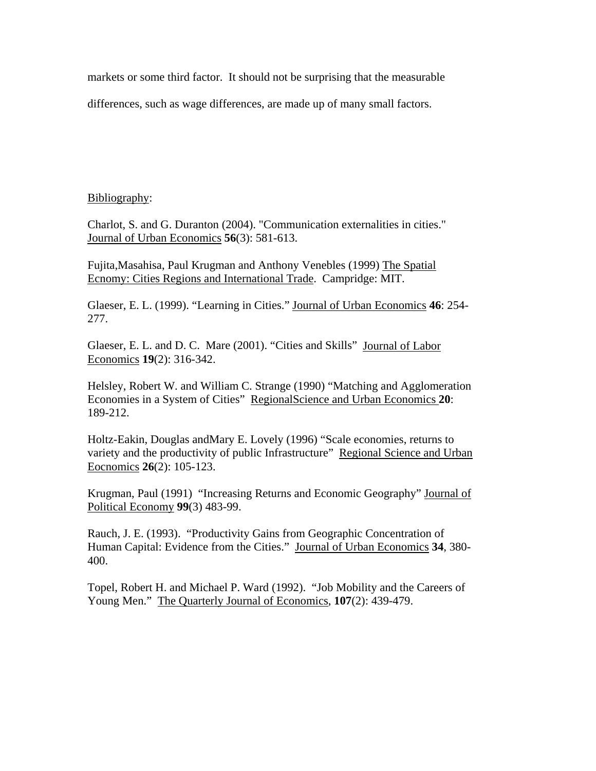markets or some third factor. It should not be surprising that the measurable

differences, such as wage differences, are made up of many small factors.

### Bibliography:

Charlot, S. and G. Duranton (2004). "Communication externalities in cities." Journal of Urban Economics **56**(3): 581-613.

Fujita,Masahisa, Paul Krugman and Anthony Venebles (1999) The Spatial Ecnomy: Cities Regions and International Trade. Campridge: MIT.

Glaeser, E. L. (1999). "Learning in Cities." Journal of Urban Economics **46**: 254- 277.

Glaeser, E. L. and D. C. Mare (2001). "Cities and Skills" Journal of Labor Economics **19**(2): 316-342.

Helsley, Robert W. and William C. Strange (1990) "Matching and Agglomeration Economies in a System of Cities" RegionalScience and Urban Economics **20**: 189-212.

Holtz-Eakin, Douglas andMary E. Lovely (1996) "Scale economies, returns to variety and the productivity of public Infrastructure" Regional Science and Urban Eocnomics **26**(2): 105-123.

Krugman, Paul (1991) "Increasing Returns and Economic Geography" Journal of Political Economy **99**(3) 483-99.

Rauch, J. E. (1993). "Productivity Gains from Geographic Concentration of Human Capital: Evidence from the Cities." Journal of Urban Economics **34**, 380- 400.

Topel, Robert H. and Michael P. Ward (1992). "Job Mobility and the Careers of Young Men." The Quarterly Journal of Economics, **107**(2): 439-479.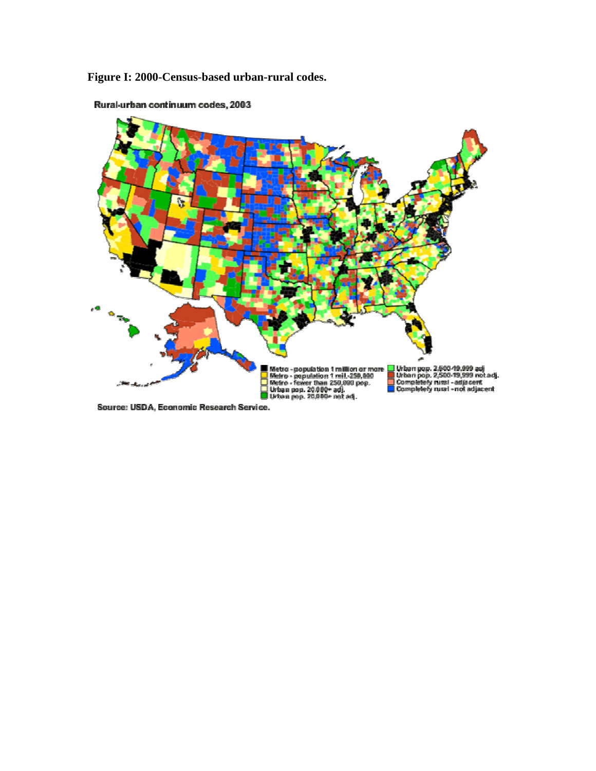**Figure I: 2000-Census-based urban-rural codes.** 



Rural-urban continuum codes, 2003

Source: USDA, Economic Research Service.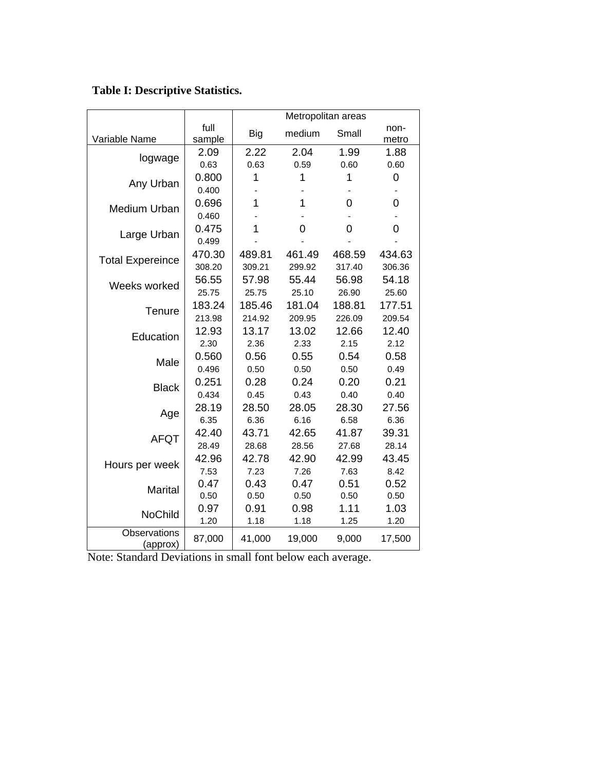**Table I: Descriptive Statistics.** 

|                          |                | Metropolitan areas |                |        |               |  |  |  |
|--------------------------|----------------|--------------------|----------------|--------|---------------|--|--|--|
| Variable Name            | full<br>sample | <b>Big</b>         | medium         | Small  | non-<br>metro |  |  |  |
|                          | 2.09           | 2.22               | 2.04           | 1.99   | 1.88          |  |  |  |
| logwage                  | 0.63           | 0.63               | 0.59           | 0.60   | 0.60          |  |  |  |
|                          | 0.800          | 1                  | 1              | 1      | 0             |  |  |  |
| Any Urban                | 0.400          |                    |                |        |               |  |  |  |
| Medium Urban             | 0.696          | 1                  | $\overline{1}$ | 0      | 0             |  |  |  |
|                          | 0.460          |                    |                |        |               |  |  |  |
| Large Urban              | 0.475          | 1                  | 0              | 0      | 0             |  |  |  |
|                          | 0.499          |                    |                |        |               |  |  |  |
| <b>Total Expereince</b>  | 470.30         | 489.81             | 461.49         | 468.59 | 434.63        |  |  |  |
|                          | 308.20         | 309.21             | 299.92         | 317.40 | 306.36        |  |  |  |
| Weeks worked             | 56.55          | 57.98              | 55.44          | 56.98  | 54.18         |  |  |  |
|                          | 25.75          | 25.75              | 25.10          | 26.90  | 25.60         |  |  |  |
| Tenure                   | 183.24         | 185.46             | 181.04         | 188.81 | 177.51        |  |  |  |
|                          | 213.98         | 214.92             | 209.95         | 226.09 | 209.54        |  |  |  |
| Education                | 12.93          | 13.17              | 13.02          | 12.66  | 12.40         |  |  |  |
|                          | 2.30           | 2.36               | 2.33           | 2.15   | 2.12          |  |  |  |
| Male                     | 0.560          | 0.56               | 0.55           | 0.54   | 0.58          |  |  |  |
|                          | 0.496          | 0.50               | 0.50           | 0.50   | 0.49          |  |  |  |
| <b>Black</b>             | 0.251          | 0.28               | 0.24           | 0.20   | 0.21          |  |  |  |
|                          | 0.434          | 0.45               | 0.43           | 0.40   | 0.40          |  |  |  |
| Age                      | 28.19          | 28.50              | 28.05          | 28.30  | 27.56         |  |  |  |
|                          | 6.35           | 6.36               | 6.16           | 6.58   | 6.36          |  |  |  |
| <b>AFQT</b>              | 42.40          | 43.71              | 42.65          | 41.87  | 39.31         |  |  |  |
|                          | 28.49          | 28.68              | 28.56          | 27.68  | 28.14         |  |  |  |
| Hours per week           | 42.96          | 42.78              | 42.90          | 42.99  | 43.45         |  |  |  |
|                          | 7.53           | 7.23               | 7.26           | 7.63   | 8.42          |  |  |  |
| <b>Marital</b>           | 0.47           | 0.43               | 0.47           | 0.51   | 0.52          |  |  |  |
|                          | 0.50           | 0.50               | 0.50           | 0.50   | 0.50          |  |  |  |
| <b>NoChild</b>           | 0.97           | 0.91               | 0.98           | 1.11   | 1.03          |  |  |  |
|                          | 1.20           | 1.18               | 1.18           | 1.25   | 1.20          |  |  |  |
| Observations<br>(approx) | 87,000         | 41,000             | 19,000         | 9,000  | 17,500        |  |  |  |

Note: Standard Deviations in small font below each average.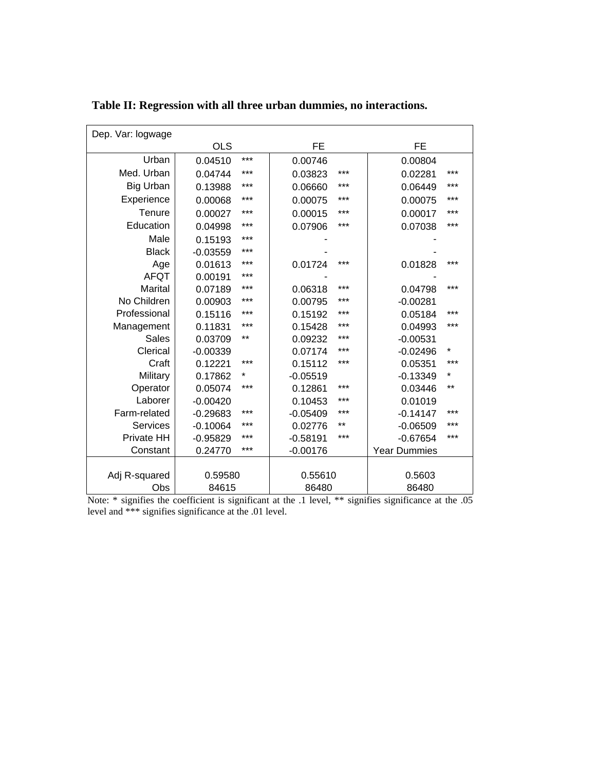| Dep. Var: logwage |            |          |            |       |                     |         |
|-------------------|------------|----------|------------|-------|---------------------|---------|
|                   | <b>OLS</b> |          | <b>FE</b>  |       | <b>FE</b>           |         |
| Urban             | 0.04510    | ***      | 0.00746    |       | 0.00804             |         |
| Med. Urban        | 0.04744    | ***      | 0.03823    | ***   | 0.02281             | ***     |
| <b>Big Urban</b>  | 0.13988    | ***      | 0.06660    | ***   | 0.06449             | ***     |
| Experience        | 0.00068    | ***      | 0.00075    | ***   | 0.00075             | ***     |
| Tenure            | 0.00027    | ***      | 0.00015    | ***   | 0.00017             | ***     |
| Education         | 0.04998    | ***      | 0.07906    | ***   | 0.07038             | $***$   |
| Male              | 0.15193    | ***      |            |       |                     |         |
| <b>Black</b>      | $-0.03559$ | ***      |            |       |                     |         |
| Age               | 0.01613    | $***$    | 0.01724    | ***   | 0.01828             | ***     |
| <b>AFQT</b>       | 0.00191    | ***      |            |       |                     |         |
| <b>Marital</b>    | 0.07189    | ***      | 0.06318    | ***   | 0.04798             | $***$   |
| No Children       | 0.00903    | ***      | 0.00795    | ***   | $-0.00281$          |         |
| Professional      | 0.15116    | ***      | 0.15192    | ***   | 0.05184             | ***     |
| Management        | 0.11831    | ***      | 0.15428    | ***   | 0.04993             | $***$   |
| <b>Sales</b>      | 0.03709    | $***$    | 0.09232    | ***   | $-0.00531$          |         |
| Clerical          | $-0.00339$ |          | 0.07174    | ***   | $-0.02496$          | $\star$ |
| Craft             | 0.12221    | ***      | 0.15112    | ***   | 0.05351             | $***$   |
| Military          | 0.17862    | $^\star$ | $-0.05519$ |       | $-0.13349$          | *       |
| Operator          | 0.05074    | $***$    | 0.12861    | ***   | 0.03446             | $***$   |
| Laborer           | $-0.00420$ |          | 0.10453    | ***   | 0.01019             |         |
| Farm-related      | $-0.29683$ | ***      | $-0.05409$ | ***   | $-0.14147$          | ***     |
| <b>Services</b>   | $-0.10064$ | ***      | 0.02776    | $***$ | $-0.06509$          | ***     |
| Private HH        | $-0.95829$ | ***      | $-0.58191$ | $***$ | $-0.67654$          | $***$   |
| Constant          | 0.24770    | ***      | $-0.00176$ |       | <b>Year Dummies</b> |         |
|                   |            |          |            |       |                     |         |
| Adj R-squared     | 0.59580    |          | 0.55610    |       | 0.5603              |         |
| Obs               | 84615      |          | 86480      |       | 86480               |         |

**Table II: Regression with all three urban dummies, no interactions.**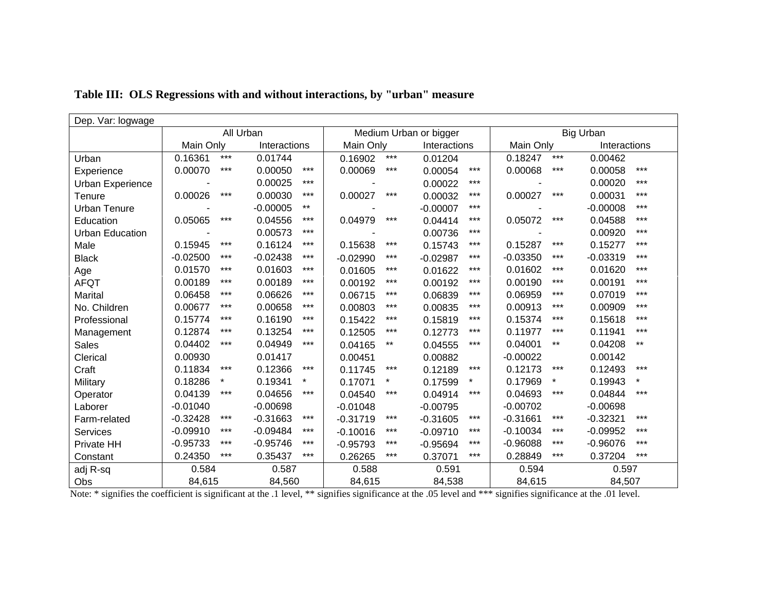| Dep. Var: logwage       |            |         |              |         |                        |       |                  |              |            |           |            |              |  |
|-------------------------|------------|---------|--------------|---------|------------------------|-------|------------------|--------------|------------|-----------|------------|--------------|--|
|                         | All Urban  |         |              |         | Medium Urban or bigger |       | <b>Big Urban</b> |              |            |           |            |              |  |
|                         | Main Only  |         | Interactions |         | Main Only              |       |                  | Interactions |            | Main Only |            | Interactions |  |
| Urban                   | 0.16361    | $***$   | 0.01744      |         | 0.16902                | $***$ | 0.01204          |              | 0.18247    | $***$     | 0.00462    |              |  |
| Experience              | 0.00070    | $***$   | 0.00050      | $***$   | 0.00069                | $***$ | 0.00054          | $***$        | 0.00068    | $***$     | 0.00058    | $***$        |  |
| <b>Urban Experience</b> |            |         | 0.00025      | $***$   |                        |       | 0.00022          | $***$        |            |           | 0.00020    | $***$        |  |
| Tenure                  | 0.00026    | $***$   | 0.00030      | $***$   | 0.00027                | $***$ | 0.00032          | $***$        | 0.00027    | $***$     | 0.00031    | $***$        |  |
| Urban Tenure            |            |         | $-0.00005$   | $***$   |                        |       | $-0.00007$       | $***$        |            |           | $-0.00008$ | ***          |  |
| Education               | 0.05065    | $***$   | 0.04556      | $***$   | 0.04979                | $***$ | 0.04414          | ***          | 0.05072    | $***$     | 0.04588    | $***$        |  |
| <b>Urban Education</b>  |            |         | 0.00573      | $***$   |                        |       | 0.00736          | $***$        |            |           | 0.00920    | $***$        |  |
| Male                    | 0.15945    | $***$   | 0.16124      | $***$   | 0.15638                | $***$ | 0.15743          | $***$        | 0.15287    | $***$     | 0.15277    | $***$        |  |
| <b>Black</b>            | $-0.02500$ | $***$   | $-0.02438$   | $***$   | $-0.02990$             | $***$ | $-0.02987$       | $***$        | $-0.03350$ | $***$     | $-0.03319$ | $***$        |  |
| Age                     | 0.01570    | $***$   | 0.01603      | $***$   | 0.01605                | $***$ | 0.01622          | $***$        | 0.01602    | $***$     | 0.01620    | $***$        |  |
| <b>AFQT</b>             | 0.00189    | $***$   | 0.00189      | $***$   | 0.00192                | $***$ | 0.00192          | $***$        | 0.00190    | ***       | 0.00191    | ***          |  |
| Marital                 | 0.06458    | $***$   | 0.06626      | ***     | 0.06715                | ***   | 0.06839          | $***$        | 0.06959    | $***$     | 0.07019    | $***$        |  |
| No. Children            | 0.00677    | $***$   | 0.00658      | $***$   | 0.00803                | $***$ | 0.00835          | $***$        | 0.00913    | $***$     | 0.00909    | $***$        |  |
| Professional            | 0.15774    | $***$   | 0.16190      | $***$   | 0.15422                | $***$ | 0.15819          | $***$        | 0.15374    | $***$     | 0.15618    | $***$        |  |
| Management              | 0.12874    | $***$   | 0.13254      | $***$   | 0.12505                | $***$ | 0.12773          | $***$        | 0.11977    | $***$     | 0.11941    | $***$        |  |
| <b>Sales</b>            | 0.04402    | $***$   | 0.04949      | $***$   | 0.04165                | $***$ | 0.04555          | $***$        | 0.04001    | $***$     | 0.04208    | $***$        |  |
| Clerical                | 0.00930    |         | 0.01417      |         | 0.00451                |       | 0.00882          |              | $-0.00022$ |           | 0.00142    |              |  |
| Craft                   | 0.11834    | $***$   | 0.12366      | $***$   | 0.11745                | $***$ | 0.12189          | $***$        | 0.12173    | ***       | 0.12493    | $***$        |  |
| Military                | 0.18286    | $\star$ | 0.19341      | $\star$ | 0.17071                |       | 0.17599          | $\star$      | 0.17969    | $\star$   | 0.19943    | $\star$      |  |
| Operator                | 0.04139    | $***$   | 0.04656      | $***$   | 0.04540                | $***$ | 0.04914          | $***$        | 0.04693    | $***$     | 0.04844    | $***$        |  |
| Laborer                 | $-0.01040$ |         | $-0.00698$   |         | $-0.01048$             |       | $-0.00795$       |              | $-0.00702$ |           | $-0.00698$ |              |  |
| Farm-related            | $-0.32428$ | $***$   | $-0.31663$   | $***$   | $-0.31719$             | $***$ | $-0.31605$       | $***$        | $-0.31661$ | $***$     | $-0.32321$ | ***          |  |
| <b>Services</b>         | $-0.09910$ | $***$   | $-0.09484$   | $***$   | $-0.10016$             | $***$ | $-0.09710$       | $***$        | $-0.10034$ | $***$     | $-0.09952$ | $***$        |  |
| Private HH              | $-0.95733$ | $***$   | $-0.95746$   | $***$   | $-0.95793$             | $***$ | $-0.95694$       | $***$        | $-0.96088$ | $***$     | $-0.96076$ | ***          |  |
| Constant                | 0.24350    | $***$   | 0.35437      | $***$   | 0.26265                | $***$ | 0.37071          | $***$        | 0.28849    | $***$     | 0.37204    | $***$        |  |
| adj R-sq                | 0.584      |         | 0.587        |         | 0.588                  |       | 0.591            |              |            | 0.594     |            | 0.597        |  |
| Obs                     | 84,615     |         | 84,560       |         | 84,615                 |       | 84,538           |              | 84,615     |           | 84,507     |              |  |

**Table III: OLS Regressions with and without interactions, by "urban" measure**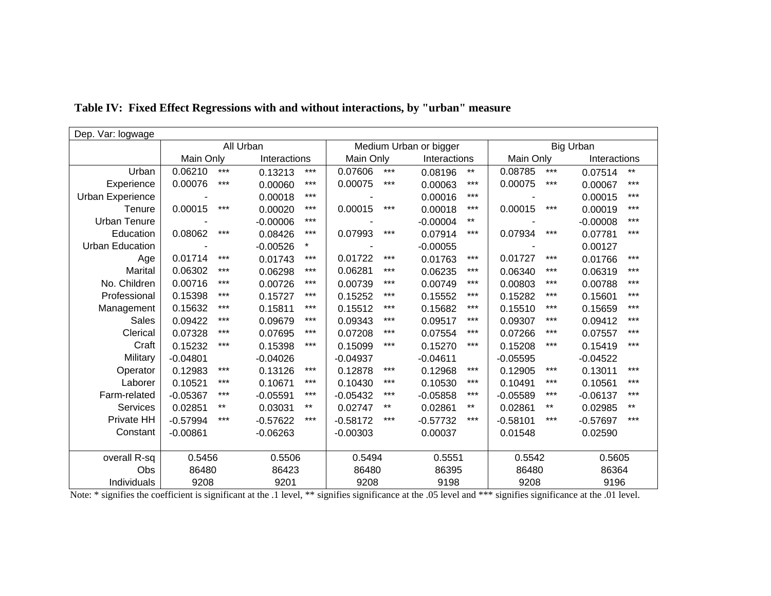| Dep. Var: logwage      |            |           |              |                        |                  |                  |            |              |            |           |            |              |  |
|------------------------|------------|-----------|--------------|------------------------|------------------|------------------|------------|--------------|------------|-----------|------------|--------------|--|
|                        |            | All Urban |              | Medium Urban or bigger |                  | <b>Big Urban</b> |            |              |            |           |            |              |  |
|                        | Main Only  |           | Interactions |                        |                  | Main Only        |            | Interactions |            | Main Only |            | Interactions |  |
| Urban                  | 0.06210    | $***$     | 0.13213      | $***$                  | 0.07606          | $***$            | 0.08196    | $***$        | 0.08785    | $***$     | 0.07514    | $***$        |  |
| Experience             | 0.00076    | $***$     | 0.00060      | $***$                  | 0.00075          | $***$            | 0.00063    | $***$        | 0.00075    | $***$     | 0.00067    | $***$        |  |
| Urban Experience       |            |           | 0.00018      | ***                    |                  |                  | 0.00016    | $***$        |            |           | 0.00015    | $***$        |  |
| Tenure                 | 0.00015    | $***$     | 0.00020      | ***                    | 0.00015          | $***$            | 0.00018    | $***$        | 0.00015    | $***$     | 0.00019    | $***$        |  |
| <b>Urban Tenure</b>    |            |           | $-0.00006$   | $***$                  |                  |                  | $-0.00004$ | $***$        |            |           | $-0.00008$ | ***          |  |
| Education              | 0.08062    | $***$     | 0.08426      | ***                    | 0.07993          | $***$            | 0.07914    | $***$        | 0.07934    | $***$     | 0.07781    | $***$        |  |
| <b>Urban Education</b> |            |           | $-0.00526$   | $\star$                |                  |                  | $-0.00055$ |              |            |           | 0.00127    |              |  |
| Age                    | 0.01714    | $***$     | 0.01743      | $***$                  | 0.01722          | $***$            | 0.01763    | $***$        | 0.01727    | $***$     | 0.01766    | $***$        |  |
| Marital                | 0.06302    | $***$     | 0.06298      | $***$                  | 0.06281          | $***$            | 0.06235    | $***$        | 0.06340    | $***$     | 0.06319    | ***          |  |
| No. Children           | 0.00716    | $***$     | 0.00726      | $***$                  | 0.00739          | $***$            | 0.00749    | $***$        | 0.00803    | $***$     | 0.00788    | $***$        |  |
| Professional           | 0.15398    | $***$     | 0.15727      | ***                    | 0.15252          | $***$            | 0.15552    | $***$        | 0.15282    | $***$     | 0.15601    | $***$        |  |
| Management             | 0.15632    | $***$     | 0.15811      | ***                    | 0.15512          | ***              | 0.15682    | $***$        | 0.15510    | $***$     | 0.15659    | ***          |  |
| <b>Sales</b>           | 0.09422    | $***$     | 0.09679      | $***$                  | 0.09343          | $***$            | 0.09517    | $***$        | 0.09307    | $***$     | 0.09412    | $***$        |  |
| Clerical               | 0.07328    | $***$     | 0.07695      | ***                    | 0.07208          | ***              | 0.07554    | $***$        | 0.07266    | ***       | 0.07557    | ***          |  |
| Craft                  | 0.15232    | $***$     | 0.15398      | $***$                  | 0.15099          | $***$            | 0.15270    | $***$        | 0.15208    | $***$     | 0.15419    | $***$        |  |
| Military               | $-0.04801$ |           | $-0.04026$   |                        | $-0.04937$       |                  | $-0.04611$ |              | $-0.05595$ |           | $-0.04522$ |              |  |
| Operator               | 0.12983    | $***$     | 0.13126      | $***$                  | 0.12878          | $***$            | 0.12968    | $***$        | 0.12905    | $***$     | 0.13011    | $***$        |  |
| Laborer                | 0.10521    | $***$     | 0.10671      | ***                    | 0.10430          | ***              | 0.10530    | $***$        | 0.10491    | ***       | 0.10561    | ***          |  |
| Farm-related           | $-0.05367$ | $***$     | $-0.05591$   | ***                    | $-0.05432$       | ***              | $-0.05858$ | $***$        | $-0.05589$ | ***       | $-0.06137$ | ***          |  |
| Services               | 0.02851    | $***$     | 0.03031      | $***$                  | 0.02747          | $***$            | 0.02861    | $***$        | 0.02861    | $***$     | 0.02985    | $***$        |  |
| Private HH             | $-0.57994$ | $***$     | $-0.57622$   | $***$                  | $-0.58172$       | ***              | $-0.57732$ | ***          | $-0.58101$ | $***$     | $-0.57697$ | $***$        |  |
| Constant               | $-0.00861$ |           | $-0.06263$   |                        | $-0.00303$       |                  | 0.00037    |              | 0.01548    |           | 0.02590    |              |  |
|                        |            |           |              |                        |                  |                  |            |              |            |           |            |              |  |
| overall R-sq           | 0.5456     |           | 0.5506       |                        | 0.5494<br>0.5551 |                  | 0.5542     |              | 0.5605     |           |            |              |  |
| Obs                    | 86480      |           | 86423        |                        | 86480            |                  |            | 86395        |            | 86480     |            | 86364        |  |
| Individuals            | 9208       |           | 9201         |                        | 9208             |                  | 9198       |              | 9208       |           | 9196       |              |  |

## **Table IV: Fixed Effect Regressions with and without interactions, by "urban" measure**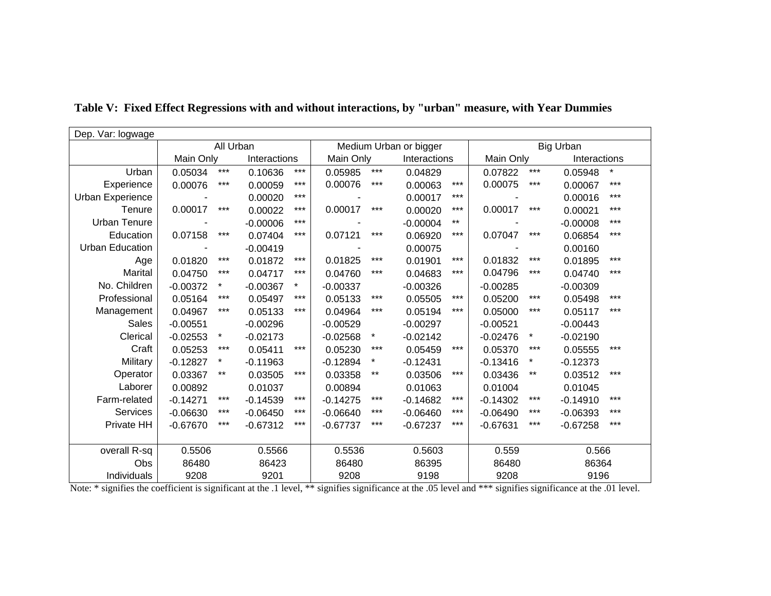| Dep. Var: logwage       |            |           |            |              |            |                        |            |                  |            |           |            |              |  |
|-------------------------|------------|-----------|------------|--------------|------------|------------------------|------------|------------------|------------|-----------|------------|--------------|--|
|                         |            | All Urban |            |              |            | Medium Urban or bigger |            | <b>Big Urban</b> |            |           |            |              |  |
|                         | Main Only  |           |            | Interactions |            | Main Only              |            | Interactions     |            | Main Only |            | Interactions |  |
| Urban                   | 0.05034    | $***$     | 0.10636    | $***$        | 0.05985    | $***$                  | 0.04829    |                  | 0.07822    | $***$     | 0.05948    | $^\star$     |  |
| Experience              | 0.00076    | $***$     | 0.00059    | $***$        | 0.00076    | $***$                  | 0.00063    | $***$            | 0.00075    | $***$     | 0.00067    | $***$        |  |
| <b>Urban Experience</b> |            |           | 0.00020    | $***$        |            |                        | 0.00017    | $***$            |            |           | 0.00016    | ***          |  |
| Tenure                  | 0.00017    | $***$     | 0.00022    | $***$        | 0.00017    | $***$                  | 0.00020    | $***$            | 0.00017    | $***$     | 0.00021    | $***$        |  |
| <b>Urban Tenure</b>     |            |           | $-0.00006$ | $***$        |            |                        | $-0.00004$ | $***$            |            |           | $-0.00008$ | $***$        |  |
| Education               | 0.07158    | $***$     | 0.07404    | $***$        | 0.07121    | $***$                  | 0.06920    | $***$            | 0.07047    | $***$     | 0.06854    | $***$        |  |
| <b>Urban Education</b>  |            |           | $-0.00419$ |              |            |                        | 0.00075    |                  |            |           | 0.00160    |              |  |
| Age                     | 0.01820    | $***$     | 0.01872    | $***$        | 0.01825    | $***$                  | 0.01901    | $***$            | 0.01832    | $***$     | 0.01895    | $***$        |  |
| Marital                 | 0.04750    | $***$     | 0.04717    | $***$        | 0.04760    | $***$                  | 0.04683    | $***$            | 0.04796    | ***       | 0.04740    | $***$        |  |
| No. Children            | $-0.00372$ | $^\star$  | $-0.00367$ | $\star$      | $-0.00337$ |                        | $-0.00326$ |                  | $-0.00285$ |           | $-0.00309$ |              |  |
| Professional            | 0.05164    | $***$     | 0.05497    | $***$        | 0.05133    | $***$                  | 0.05505    | $***$            | 0.05200    | $***$     | 0.05498    | $***$        |  |
| Management              | 0.04967    | $***$     | 0.05133    | $***$        | 0.04964    | ***                    | 0.05194    | $***$            | 0.05000    | ***       | 0.05117    | $***$        |  |
| <b>Sales</b>            | $-0.00551$ |           | $-0.00296$ |              | $-0.00529$ |                        | $-0.00297$ |                  | $-0.00521$ |           | $-0.00443$ |              |  |
| Clerical                | $-0.02553$ | $\star$   | $-0.02173$ |              | $-0.02568$ | $\star$                | $-0.02142$ |                  | $-0.02476$ | $\star$   | $-0.02190$ |              |  |
| Craft                   | 0.05253    | $***$     | 0.05411    | $***$        | 0.05230    | ***                    | 0.05459    | $***$            | 0.05370    | $***$     | 0.05555    | ***          |  |
| Military                | $-0.12827$ | $\star$   | $-0.11963$ |              | $-0.12894$ | $\star$                | $-0.12431$ |                  | $-0.13416$ | $\star$   | $-0.12373$ |              |  |
| Operator                | 0.03367    | $***$     | 0.03505    | $***$        | 0.03358    | $***$                  | 0.03506    | $***$            | 0.03436    | **        | 0.03512    | ***          |  |
| Laborer                 | 0.00892    |           | 0.01037    |              | 0.00894    |                        | 0.01063    |                  | 0.01004    |           | 0.01045    |              |  |
| Farm-related            | $-0.14271$ | $***$     | $-0.14539$ | $***$        | $-0.14275$ | $***$                  | $-0.14682$ | $***$            | $-0.14302$ | $***$     | $-0.14910$ | $***$        |  |
| Services                | $-0.06630$ | $***$     | $-0.06450$ | $***$        | $-0.06640$ | ***                    | $-0.06460$ | $***$            | $-0.06490$ | ***       | $-0.06393$ | $***$        |  |
| Private HH              | $-0.67670$ | $***$     | $-0.67312$ | $***$        | $-0.67737$ | ***                    | $-0.67237$ | $***$            | $-0.67631$ | ***       | $-0.67258$ | ***          |  |
|                         |            |           |            |              |            |                        |            |                  |            |           |            |              |  |
| overall R-sq            | 0.5506     |           | 0.5566     |              | 0.5536     |                        | 0.5603     |                  | 0.559      |           | 0.566      |              |  |
| Obs                     | 86480      |           | 86423      |              | 86480      |                        | 86395      |                  | 86480      |           | 86364      |              |  |
| Individuals             | 9208       |           | 9201       |              | 9208       |                        | 9198       |                  | 9208       |           | 9196       |              |  |

**Table V: Fixed Effect Regressions with and without interactions, by "urban" measure, with Year Dummies**